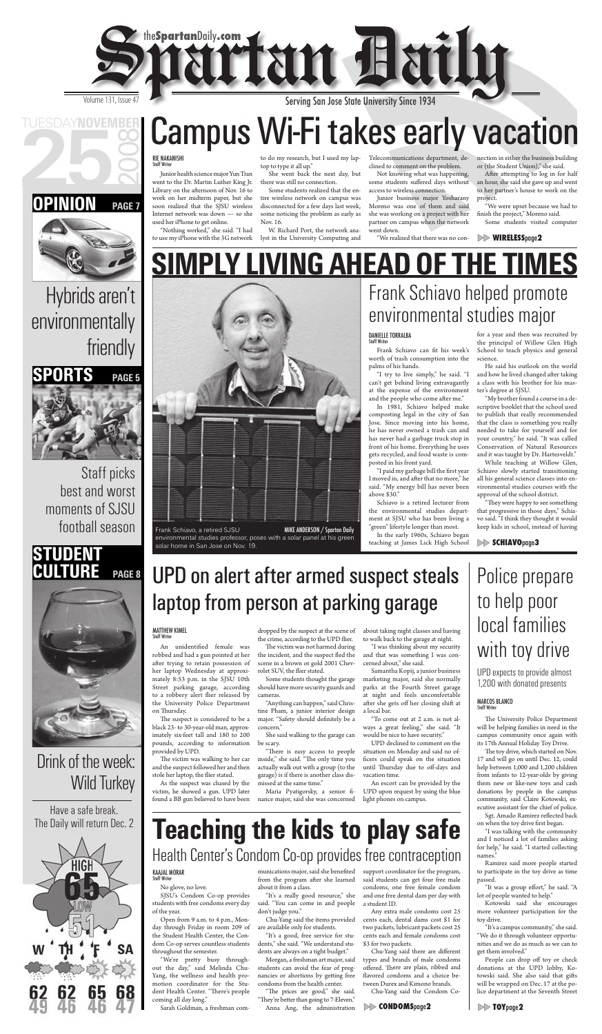# Campus Wi-Fi takes early vacation

### RIE NAKANISHI<br>Staff Writer

**SIMPLY LIVING AHEAD OF THE TIMES**

## Drink of the week: Wild Turkey



## **PAGE 7**







Staff picks best and worst moments of SJSU football season

Junior health science major Yun Tran went to the Dr. Martin Luther King Jr. Library on the afternoon of Nov. 16 to work on her midterm paper, but she soon realized that the SJSU wireless Internet network was down — so she used her iPhone to get online.

to do my research, but I used my laptop to type it all up."

She went back the next day, but there was still no connection.

"Nothing worked," she said. "I had to use my iPhone with the 3G network lyst in the University Computing and

After attempting to log in for half an hour, she said she gave up and went to her partner's house to work on the project.

"We were upset because we had to finish the project," Moreno said.

Some students realized that the entire wireless network on campus was disconnected for a few days last week, some noticing the problem as early as Nov. 16.

W. Richard Port, the network ana-

Telecommunications department, declined to comment on the problem.

Not knowing what was happening, some students suffered days without access to wireless connection.

I moved in, and after that no more," he said. "My energy bill has never been above \$30." Schiavo is a retired lecturer from

Junior business major Yosharany Moreno was one of them and said she was working on a project with her partner on campus when the network went down.

"We realized that there was no con-

nection in either the business building or (the Student Union)," she said.

Some students visited computer

"They were happy to see something that progressive in those days," Schiavo said. "I think they thought it would keep kids in school, instead of having

"We're pretty busy throughout the day," said Melinda Chu-Yang, the wellness and health promotion coordinator for the Student Health Center. "There's people coming all day long."

munications major, said she benefited from the program after she learned about it from a class.

"The prices are good," she said. "They're better than going to 7-Eleven." Anna Ang, the administration the environmental studies department at SJSU who has been living a "green" lifestyle longer than most.

In the early 1960s, Schiavo began teaching at James Lick High School

Chu-Yang said there are different types and brands of male condoms offered. There are plain, ribbed and flavored condoms and a choice between Durex and Kimono brands.

for a year and then was recruited by the principal of Willow Glen High School to teach physics and general

He said his outlook on the world and how he lived changed after taking a class with his brother for his mas-

The suspect is considered to be a black 23- to 30-year-old man, approximately six-feet tall and 180 to 200 pounds, according to information provided by UPD.

The victim was walking to her car and the suspect followed her and then stole her laptop, the flier stated.

dropped by the suspect at the scene of the crime, according to the UPD flier.

The victim was not harmed during the incident, and the suspect fled the scene in a brown or gold 2001 Chevrolet SUV, the flier stated.

"My brother found a course in a descriptive booklet that the school used to publish that really recommended that the class is something you really needed to take for yourself and for your country," he said. "It was called Conservation of Natural Resources and it was taught by Dr. Hartesveldt."

Schiavo slowly started transitioning all his general science classes into environmental studies courses with the approval of the school district.

"There is easy access to people inside," she said. "The only time you actually walk out with a group (to the garage) is if there is another class dismissed at the same time."

Maria Pyatigorsky, a senior finance major, said she was concerned

SJSU's Condom Co-op provides students with free condoms every day of the year.

Open from 9 a.m. to 4 p.m., Monday through Friday in room 209 of the Student Health Center, the Condom Co-op serves countless students throughout the semester.

The University Police Department will be helping families in need in the campus community once again with its 17th Annual Holiday Toy Drive.

The toy drive, which started on Nov. 17 and will go on until Dec. 12, could help between 1,000 and 1,200 children from infants to 12-year-olds by giving them new or like-new toys and cash donations by people in the campus community, said Claire Kotowski, executive assistant for the chief of police.

Sgt. Amado Ramirez reflected back on when the toy drive first began.

Sarah Goldman, a freshman com-

"It was a group effort," he said. "A lot of people wanted to help."

"It's a really good resource," she said. "You can come in and people don't judge you."

Chu-Yang said the items provided are available only for students.

"It's a good, free service for students," she said. "We understand students are always on a tight budget."

Morgan, a freshman art major, said students can avoid the fear of pregnancies or abortions by getting free condoms from the health center.

#### Frank Schiavo can fit his week's worth of trash consumption into the palms of his hands. "I try to live simply," he said. "I can't get behind living extravagantly at the expense of the environment and the people who come after me." In 1981, Schiavo helped make composting legal in the city of San Jose. Since moving into his home, he has never owned a trash can and has never had a garbage truck stop in front of his home. Everything he uses gets recycled, and food waste is composted in his front yard. "I paid my garbage bill the first year science. ter's degree at SJSU. While teaching at Willow Glen, DANIELLE TORRALBA<br>Staff Writer environmental studies major

support coordinator for the program, said students can get four free male condoms, one free female condom and one free dental dam per day with a student ID.

Any extra male condoms cost 25 cents each, dental dams cost \$1 for two packets, lubricant packets cost 25 cents each and female condoms cost \$3 for two packets.

Chu-Yang said the Condom Co-

As the suspect was chased by the victim, he showed a gun. UPD later found a BB gun believed to have been

Some students thought the garage should have more security guards and cameras.

"Anything can happen," said Christine Pham, a junior interior design major. "Safety should definitely be a concern."

She said walking to the garage can be scary.

about taking night classes and having to walk back to the garage at night.

"I was thinking about my security and that was something I was concerned about," she said.

Samantha Kopij, a junior business marketing major, said she normally parks at the Fourth Street garage at night and feels uncomfortable after she gets off her closing shift at a local bar.

"To come out at 2 a.m. is not always a great feeling," she said. "It would be nice to have security."

UPD declined to comment on the situation on Monday and said no officers could speak on the situation until Thursday due to off-days and vacation time.

An escort can be provided by the UPD upon request by using the blue light phones on campus.

> "I was talking with the community and I noticed a lot of families asking for help," he said. "I started collecting names."

> Ramirez said more people started to participate in the toy drive as time passed.

> Kotowski said she encourages more volunteer participation for the toy drive.

> "It's a campus community," she said. "We do it through volunteer opportunities and we do as much as we can to get them involved."

> People can drop off toy or check donations at the UPD lobby, Kotowski said. She also said that gifts will be wrapped on Dec. 17 at the police department at the Seventh Street

### **WIRELESS**page**<sup>2</sup>**

### **SCHIAVO**page**<sup>3</sup>**

### **CONDOMS**page**<sup>2</sup> TOY**page**<sup>2</sup>**

## Police prepare to help poor local families with toy drive



## Serving San Jose State University Since 1934

Frank Schiavo helped promote

## UPD on alert after armed suspect steals laptop from person at parking garage

## **Teaching the kids to play safe** Health Center's Condom Co-op provides free contraception

## KAAJAL MORAR<br>Staff Writer

No glove, no love.

Frank Schiavo, a retired SJSU

solar home in San Jose on Nov. 19.

environmental studies professor, poses with a solar panel at his green

UPD expects to provide almost 1,200 with donated presents

## Staff Writer

## Hybrids aren't environmentally friendly

Have a safe break. The Daily will return Dec. 2



## **MATTHEW KIMEL**<br>Staff Writer

An unidentified female was robbed and had a gun pointed at her after trying to retain possession of her laptop Wednesday at approximately 8:53 p.m. in the SJSU 10th Street parking garage, according to a robbery alert flier released by the University Police Department on Thursday.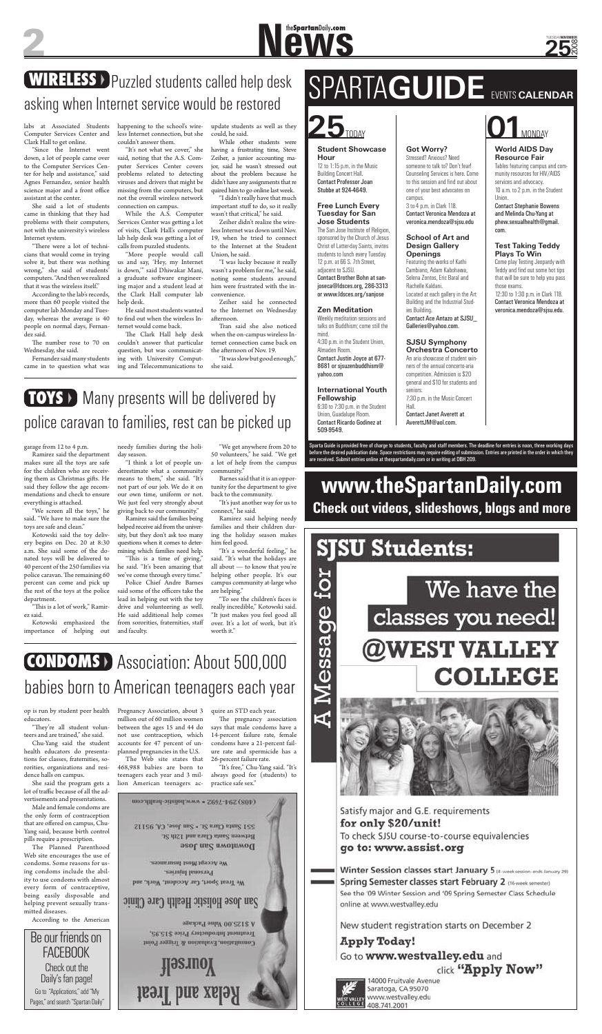## **WIRELESS** > Puzzled students called help desk asking when Internet service would be restored

**Student Showcase Hour** 12 to 1:15 p.m. in the Music

Building Concert Hall. Contact Professor Joan Stubbe at 924-4649.

#### **Free Lunch Every Tuesday for San Jose Students**

The San Jose Institute of Religion, sponsored by the Church of Jesus Christ of Latter-day Saints, invites students to lunch every Tuesday. 12 p.m. at 66 S. 7th Street, adjacent to SJSU. Contact Brother Bohn at sanjoseca@ldsces.org, 286-3313 or www.ldsces.org/sanjose

#### **Zen Meditation**

Weekly meditation sessions and talks on Buddhism; come still the mind. 4:30 p.m. in the Student Union, Almaden Room. Contact Justin Joyce at 677- 8681 or sjsuzenbuddhism@ yahoo.com

#### **International Youth Fellowship**

6:30 to 7:30 p.m. in the Student Union, Guadalupe Room. Contact Ricardo Godinez at 509-9549.

### **Got Worry?**

Stressed? Anxious? Need someone to talk to? Don't fear! Counseling Services is here. Come to this session and find out about one of your best advocates on campus.

3 to 4 p.m. in Clark 118. Contact Veronica Mendoza at veronica.mendoza@sjsu.edu

#### **School of Art and Design Gallery Openings**

Featuring the works of Kathi Cambiano, Adam Kabohawa, Selena Zontos, Eric Baral and Rachelle Kaldani. Located at each gallery in the Art Building and the Industrial Studies Building.

Contact Ace Antazo at SJSU\_ Galleries@yahoo.com.

#### **SJSU Symphony Orchestra Concerto**

An aria showcase of student winners of the annual concerto-aria competition. Admission is \$20 general and \$10 for students and seniors. 7:30 p.m. in the Music Concert Hall. Contact Janet Averett at

"There were a lot of technicians that would come in trying solve it, but there was nothing wrong," she said of students' computers. "And then we realized that it was the wireless itself."

AverettJM@aol.com.

### **World AIDS Day Resource Fair**

The number rose to 70 on Wednesday, she said.

Tables featuring campus and community resources for HIV/AIDS services and advocacy. 10 a.m. to 2 p.m. in the Student Union.

Contact Stephanie Bowens and Melinda Chu-Yang at phew.sexualhealth@gmail. com.

#### **Test Taking Teddy Plays To Win**

Come play Testing Jeopardy with Teddy and find out some hot tips that will be sure to help you pass those exams. 12:30 to 1:30 p.m. in Clark 118. Contact Veronica Mendoza at veronica.mendoza@sjsu.edu.

The Clark Hall help desk couldn't answer that particular question, but was communicating with University Computing and Telecommunications to

> Sparta Guide is provided free of charge to students, faculty and staff members. The deadline for entries is noon, three working days before the desired publication date. Space restrictions may require editing of submission. Entries are printed in the order in which they are received. Submit entries online at thespartandaily.com or in writing at DBH 209.

# SPARTA**GUIDE** EVENTS **CALENDAR**

Zeiher said he connected to the Internet on Wednesday afternoon.



Tran said she also noticed when the on-campus wireless Internet connection came back on the afternoon of Nov. 19.

# **New Spartan Daily.com**

### **25** 2008 TUESDAY**NOVEMBER**

labs at Associated Students Computer Services Center and Clark Hall to get online.

"They're all student volunteers and are trained," she said.

"Since the Internet went down, a lot of people came over to the Computer Services Center for help and assistance," said Agnes Fernandez, senior health science major and a front office assistant at the center.

She said a lot of students came in thinking that they had problems with their computers, not with the university's wireless Internet system.

> quire an STD each year. The pregnancy association

According to the lab's records, more than 60 people visited the computer lab Monday and Tuesday, whereas the average is 40 people on normal days, Fernandez said.

## **CONDOMS** Association: About 500,000 babies born to American teenagers each year

Fernandez said many students came in to question what was happening to the school's wireless Internet connection, but she couldn't answer them.

everything is attached. "We screen all the toys," he said. "We have to make sure the toys are safe and clean."

"This is a lot of work," Ramirez said.

"It's not what we cover," she said, noting that the A.S. Computer Services Center covers problems related to detecting viruses and drivers that might be missing from the computers, but not the overall wireless network connection on campus.

While the A.S. Computer Services Center was getting a lot of visits, Clark Hall's computer lab help desk was getting a lot of calls from puzzled students.

"This is a time of giving," he said. "It's been amazing that we've come through every time."

"More people would call us and say, 'Hey, my Internet is down,'" said Dhiwakar Mani, a graduate software engineering major and a student lead at the Clark Hall computer lab help desk.

He said most students wanted to find out when the wireless Internet would come back.

update students as well as they could, he said.

## **TOYS** > Many presents will be delivered by police caravan to families, rest can be picked up

While other students were having a frustrating time, Steve Zeiher, a junior accounting major, said he wasn't stressed out about the problem because he didn't have any assignments that re quired him to go online last week.

"I didn't really have that much important stuff to do, so it really wasn't that critical," he said.

Zeiher didn't realize the wireless Internet was down until Nov. 19, when he tried to connect to the Internet at the Student Union, he said.

"I was lucky because it really wasn't a problem for me," he said, noting some students around him were frustrated with the inconvenience.

"It was slow but good enough," she said.

op is run by student peer health educators.

Chu-Yang said the student health educators do presentations for classes, fraternities, sororities, organizations and residence halls on campus.

She said the program gets a lot of traffic because of all the advertisements and presentations.

Male and female condoms are the only form of contraception that are offered on campus, Chu-Yang said, because birth control pills require a prescription.

The Planned Parenthood Web site encourages the use of condoms. Some reasons for using condoms include the ability to use condoms with almost every form of contraceptive, being easily disposable and helping prevent sexually transmitted diseases.

According to the American

Pregnancy Association, about 3 million out of 60 million women between the ages 15 and 44 do not use contraception, which accounts for 47 percent of unplanned pregnancies in the U.S. The Web site states that

468,988 babies are born to teenagers each year and 3 million American teenagers acsays that male condoms have a 14-percent failure rate, female condoms have a 21-percent failure rate and spermicide has a 26-percent failure rate.

"It's free," Chu-Yang said. "It's always good for (students) to practice safe sex."



Satisfy major and G.E. requirements for only \$20/unit! To check SJSU course-to-course equivalencies go to: www.assist.org

Winter Session classes start January 5 (4-week session-ends January 29) Spring Semester classes start February 2 (16-week semester) See the '09 Winter Session and '09 Spring Semester Class Schedule online at www.westvalley.edu

New student registration starts on December 2

## **Apply Today!** Go to www.westvalley.edu and click "Apply Now"



14000 Fruitvale Avenue Saratoga, CA 95070 www.westvalley.edu 408.741.2001

garage from 12 to 4 p.m.

Ramirez said the department makes sure all the toys are safe for the children who are receiving them as Christmas gifts. He said they follow the age recommendations and check to ensure

Kotowski said the toy delivery begins on Dec. 20 at 8:30 a.m. She said some of the donated toys will be delivered to 40 percent of the 250 families via police caravan. The remaining 60 percent can come and pick up the rest of the toys at the police department.

Kotowski emphasized the importance of helping out

needy families during the holiday season.

"I think a lot of people underestimate what a community means to them," she said. "It's not part of our job. We do it on our own time, uniform or not. We just feel very strongly about giving back to our community."

Ramirez said the families being helped receive aid from the university, but they don't ask too many questions when it comes to determining which families need help.

Police Chief Andre Barnes said some of the officers take the lead in helping out with the toy

drive and volunteering as well. He said additional help comes from sororities, fraternities, staff and faculty.

"We get anywhere from 20 to 50 volunteers," he said. "We get a lot of help from the campus community."

Barnes said that it is an opportunity for the department to give back to the community.

"It's just another way for us to connect," he said.

Ramirez said helping needy families and their children during the holiday season makes him feel good.

"It's a wonderful feeling," he said. "It's what the holidays are all about — to know that you're helping other people. It's our campus community at-large who are helping."

"To see the children's faces is

really incredible," Kotowski said. "It just makes you feel good all over. It's a lot of work, but it's worth it."

## **www.theSpartanDaily.com Check out videos, slideshows, blogs and more**

## **SJSU Students:**



Go to "Applications," add "My Pages," and search "Spartan Daily" Be our friends on **FACEBOOK** Check out the Daily's fan page!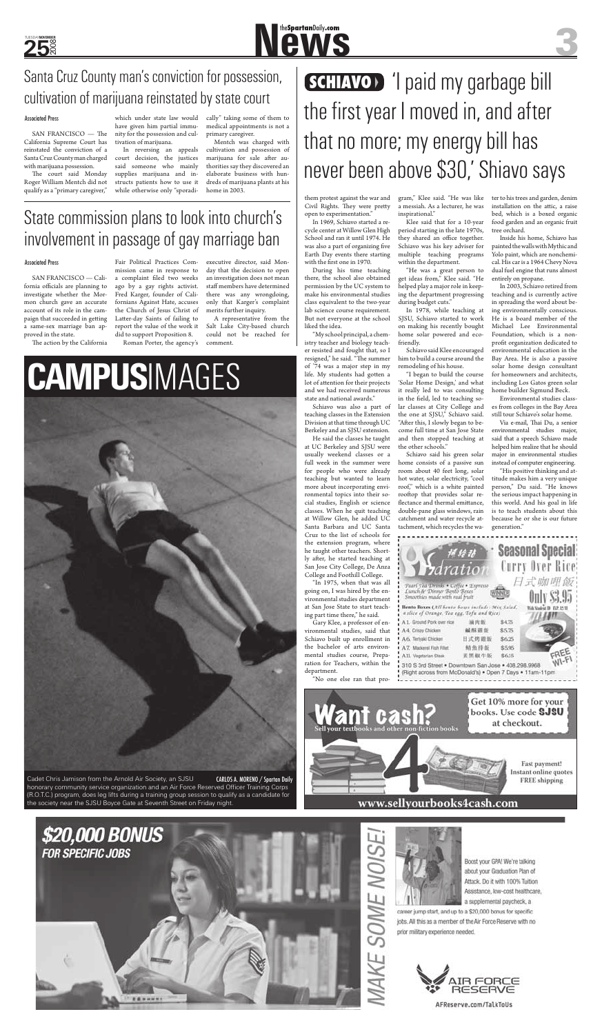

**CAMPUS**IMAGES



In 1969, Schiavo started a recycle center at Willow Glen High School and ran it until 1974. He was also a part of organizing five Earth Day events there starting with the first one in 1970.

them protest against the war and Civil Rights. They were pretty open to experimentation."

During his time teaching there, the school also obtained permission by the UC system to make his environmental studies class equivalent to the two-year lab science course requirement. But not everyone at the school liked the idea.

"My school principal, a chemistry teacher and biology teacher resisted and fought that, so I resigned," he said. "The summer of '74 was a major step in my life. My students had gotten a lot of attention for their projects and we had received numerous state and national awards."

Schiavo was also a part of teaching classes in the Extension Division at that time through UC Berkeley and an SJSU extension.

He said the classes he taught at UC Berkeley and SJSU were usually weekend classes or a full week in the summer were for people who were already teaching but wanted to learn more about incorporating environmental topics into their social studies, English or science classes. When he quit teaching at Willow Glen, he added UC Santa Barbara and UC Santa Cruz to the list of schools for the extension program, where he taught other teachers. Shortly after, he started teaching at San Jose City College, De Anza College and Foothill College.

"In 1975, when that was all going on, I was hired by the environmental studies department at San Jose State to start teaching part time there," he said.

Gary Klee, a professor of environmental studies, said that Schiavo built up enrollment in the bachelor of arts environmental studies course, Preparation for Teachers, within the department.

| <b>CHIM IMARN</b> LASE DENES OUXES INCIDENT: MELL JASHA<br>slice of Orange, Tea egg, Tofu and Rice) |             |        |
|-----------------------------------------------------------------------------------------------------|-------------|--------|
| 1. Ground Pork over rice                                                                            | 满肉散。        | \$4.75 |
| 4. Crispy Chicken:                                                                                  | 编形真面        | \$5.75 |
| 6. Terliyaki Chicken                                                                                | 日式烤霞飯       | \$6.25 |
| 7. Mackerel Fish Fillet                                                                             | <b>精魚排飯</b> | \$595  |
| II. Vegetarian Steak                                                                                | 素黑椒牛飯       | \$615  |
| O O Bod Dancel + Documents Dancelora + 400                                                          |             |        |



"No one else ran that pro-



www.sellyourbooks4cash.com



Boost your GPA! We're talking about your Graduation Plan of Attack. Do it with 100% Tuition Assistance, low-cost healthcare, a supplemental paycheck, a

career jump start, and up to a \$20,000 bonus for specific jobs. All this as a member of the Air Force Reserve with no prior military experience needed.



AFReserve.com/TalkToUs



Λ



gram," Klee said. "He was like a messiah. As a lecturer, he was inspirational."

Klee said that for a 10-year period starting in the late 1970s, they shared an office together. Schiavo was his key adviser for multiple teaching programs within the department.

"He was a great person to get ideas from," Klee said. "He helped play a major role in keeping the department progressing during budget cuts."

**SCHIAVO**> 'I paid my garbage bill the first year I moved in, and after that no more; my energy bill has never been above \$30,' Shiavo says

> In 1978, while teaching at SJSU, Schiavo started to work on making his recently bought home solar powered and ecofriendly.

> Schiavo said Klee encouraged him to build a course around the remodeling of his house.

SAN FRANCISCO — The California Supreme Court has reinstated the conviction of a Santa Cruz County man charged with marijuana possession.

The court said Monday Roger William Mentch did not qualify as a "primary caregiver,"

> "I began to build the course 'Solar Home Design,' and what it really led to was consulting in the field, led to teaching solar classes at City College and the one at SJSU," Schiavo said. "After this, I slowly began to become full time at San Jose State and then stopped teaching at the other schools."

Schiavo said his green solar home consists of a passive sun room about 40 feet long, solar hot water, solar electricity, "cool roof," which is a white painted rooftop that provides solar reflectance and thermal emittance, double-pane glass windows, rain catchment and water recycle attachment, which recycles the wa-



SAN FRANCISCO — California officials are planning to investigate whether the Mormon church gave an accurate account of its role in the campaign that succeeded in getting a same-sex marriage ban approved in the state.

The action by the California

ter to his trees and garden, denim installation on the attic, a raise bed, which is a boxed organic food garden and an organic fruit

tree orchard.

Inside his home, Schiavo has painted the walls with Mythic and Yolo paint, which are nonchemical. His car is a 1964 Chevy Nova dual fuel engine that runs almost

entirely on propane.

In 2003, Schiavo retired from teaching and is currently active in spreading the word about being environmentally conscious. He is a board member of the Michael Lee Environmental Foundation, which is a nonprofit organization dedicated to environmental education in the Bay Area. He is also a passive solar home design consultant for homeowners and architects, including Los Gatos green solar home builder Sigmund Beck. Environmental studies classes from colleges in the Bay Area still tour Schiavo's solar home. Via e-mail, Thai Du, a senior environmental studies major, said that a speech Schiavo made helped him realize that he should major in environmental studies instead of computer engineering. "His positive thinking and attitude makes him a very unique person," Du said. "He knows the serious impact happening in this world. And his goal in life is to teach students about this because he or she is our future

generation."

Cadet Chris Jamison from the Arnold Air Society, an SJSU honorary community service organization and an Air Force Reserved Officer Training Corps (R.O.T.C.) program, does leg lifts during a training group session to qualify as a candidate for the society near the SJSU Boyce Gate at Seventh Street on Friday night.



## Santa Cruz County man's conviction for possession, cultivation of marijuana reinstated by state court

**25** 

## State commission plans to look into church's involvement in passage of gay marriage ban

#### **Associated Press**

which under state law would have given him partial immunity for the possession and cultivation of marijuana.

In reversing an appeals court decision, the justices said someone who mainly supplies marijuana and instructs patients how to use it while otherwise only "sporadi-

cally" taking some of them to medical appointments is not a primary caregiver.

Mentch was charged with cultivation and possession of marijuana for sale after authorities say they discovered an elaborate business with hundreds of marijuana plants at his home in 2003.

Fair Political Practices Commission came in response to a complaint filed two weeks ago by a gay rights activist. Fred Karger, founder of Californians Against Hate, accuses the Church of Jesus Christ of Latter-day Saints of failing to report the value of the work it did to support Proposition 8.

Roman Porter, the agency's

executive director, said Monday that the decision to open an investigation does not mean staff members have determined there was any wrongdoing, only that Karger's complaint merits further inquiry.

A representative from the Salt Lake City-based church could not be reached for comment.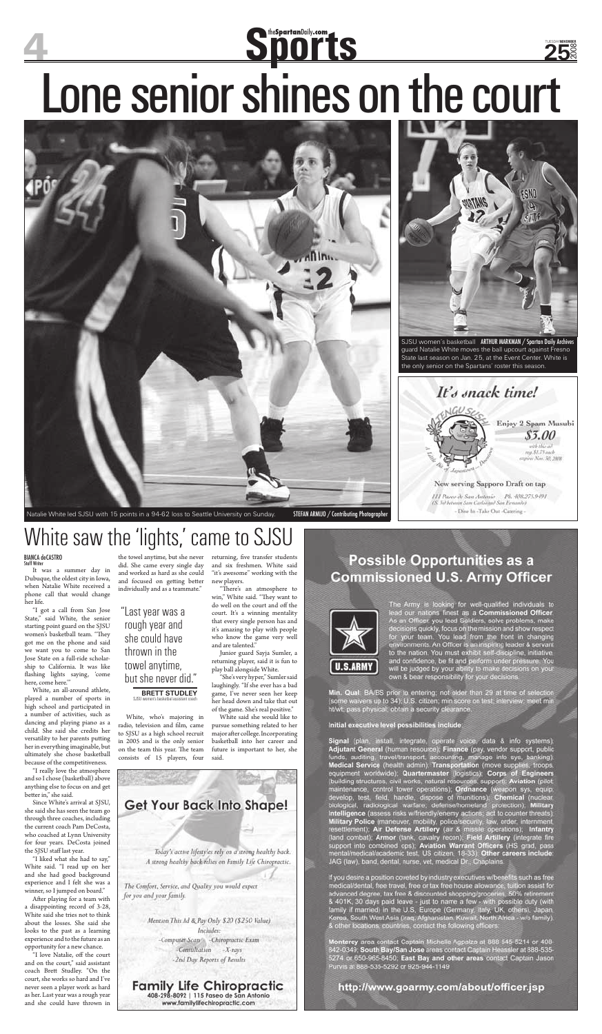## SportanDaily.com Lone senior shines on the court **25**



Natalie White led SJSU with 15 points in a 94-62 loss to Seattle University on Sunday. STEFAN ARMIJO / Contributing Photographer

## White saw the 'lights,' came to SJSU

**BIANCA deCASTRO**<br>Staff Writer

It was a summer day in Dubuque, the oldest city in Iowa, when Natalie White received a phone call that would change

her life.

"I got a call from San Jose State," said White, the senior starting point guard on the SJSU women's basketball team. "They got me on the phone and said we want you to come to San Jose State on a full-ride scholarship to California. It was like fl ashing lights saying, 'come here, come here.'"

"I really love the atmosphere and so I chose (basketball) above anything else to focus on and get better in," she said.

White, an all-around athlete, played a number of sports in high school and participated in a number of activities, such as dancing and playing piano as a child. She said she credits her versatility to her parents putting her in everything imaginable, but ultimately she chose basketball because of the competitiveness.

After playing for a team with a disappointing record of 3-28, White said she tries not to think about the losses. She said she looks to the past as a learning experience and to the future as an opportunity for a new chance.

Since White's arrival at SJSU, she said she has seen the team go through three coaches, including the current coach Pam DeCosta, who coached at Lynn University for four years. DeCosta joined the SJSU staff last year.

the towel anytime, but she never returning, five transfer students and six freshmen. White said "it's awesome" working with the new players.

> "There's an atmosphere to win," White said. "They want to



"I liked what she had to say," White said. "I read up on her and she had good background experience and I felt she was a winner, so I jumped on board."

"I love Natalie, off the court and on the court," said assistant coach Brett Studley. "On the court, she works so hard and I've never seen a player work as hard as her. Last year was a rough year and she could have thrown in

SJSU women's basketball ARTHUR MARKMAN / Spartan Daily Archives guard Natalie White moves the ball upcourt against Fresno State last season on Jan. 25, at the Event Center. White is the only senior on the Spartans' roster this season.



Enjoy 2 Spam Musubi

### Now serving Sapporo Draft on tap III Pases de San Antonio Pb. 408.275.9491 See between Sam Carlot and San Fernando) - Dine In-Take Out -Catering -

**Possible Opportunities as a Commissioned U.S. Army Officer** 

did. She came every single day and worked as hard as she could and focused on getting better individually and as a teammate."

White, who's majoring in radio, television and film, came to SJSU as a high school recruit in 2005 and is the only senior on the team this year. The team consists of 15 players, four



Computer Scan - Chiropractic Exam -Consultation  $-X$ -rays -2nd Day Reports of Results

**Family Life Chiropractic** 408-298-8092 | 115 Paseo de San Antonio

www.familylifechiropractic.com

do well on the court and off the court. It's a winning mentality that every single person has and it's amazing to play with people who know the game very well and are talented."

Junior guard Sayja Sumler, a returning player, said it is fun to play ball alongside White.

"She's very hyper," Sumler said laughingly. "If she ever has a bad game, I've never seen her keep her head down and take that out of the game. She's real positive."

White said she would like to pursue something related to her major after college. Incorporating basketball into her career and future is important to her, she said.

The Army is looking for well-qualified individuals to<br>lead our nations finest as a Commissioned Officer.<br>As an Officer, you lead Soldiers, solve problems, make<br>decisions quickly, focus on the mission and show respect<br>for y

Min. Qual: BA/BS prior to entering; not older than 29 at time of selection (some waivers up to 34); U.S. citizen; min score on test, interview, meet min<br>ht/wt, pass physical, obtain a security clearance.

Initial executive level possibilities include.

Signal (plan, install, integrale, operate voice, data & info systems), Adjutant General (human resource); Finance (pay, vendor support, public funds, auditing, travel/transport, nocounting, manage info syst, banking). Med

If you desire a position coveted by industry executives wibenefits such as free<br>medical/dental, free travel, free or tax free house allowance, tuition assist for<br>advanced degree, tax free & discounted shopping/groceries, 5

Monterey area contact Captain Michelle Agpalza at 888 545-5214 or 408-<br>842-0349; South Bay/San Jose areas contact Captain Heassler at 888-535-<br>5274 or 650-965-8450; East Bay and other areas contact Captain Jason Purvis at 888-535-5292 or 925-944-1149

http://www.goarmy.com/about/officer.jsp

## "Last year was a rough year and she could have thrown in the towel anytime, but she never did."

### **BRETT STUDLEY**<br>SJSU women's basketbal assistant coach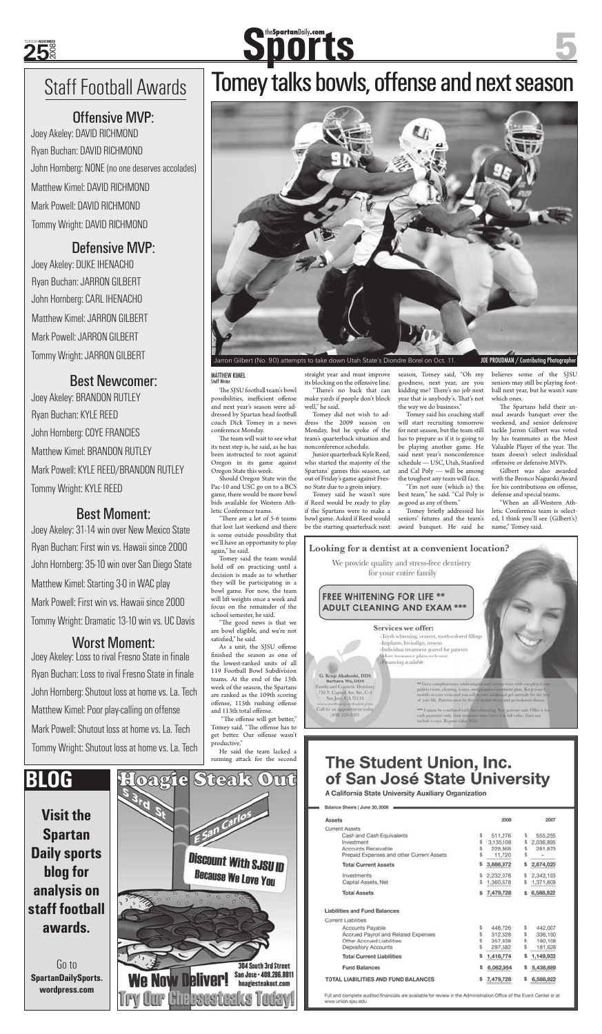The SJSU football team's bowl possibilities, inefficient offense and next year's season were addressed by Spartan head football coach Dick Tomey in a news conference Monday.

The team will wait to see what its next step is, he said, as he has been instructed to root against Oregon in its game against Oregon State this week.

"There are a lot of 5-6 teams that lost last weekend and there is some outside possibility that we'll have an opportunity to play again," he said.

Should Oregon State win the Pac-10 and USC go on to a BCS game, there would be more bowl bids available for Western Athletic Conference teams.

He said the team lacked a running attack for the second straight year and must improve its blocking on the offensive line. "There's no back that can

Tomey said the team would hold off on practicing until a decision is made as to whether they will be participating in a bowl game. For now, the team will lift weights once a week and focus on the remainder of the school semester, he said. "The good news is that we are bowl eligible, and we're not satisfied," he said. As a unit, the SJSU offense finished the season as one of the lowest-ranked units of all 119 Football Bowl Subdivision teams. At the end of the 13th week of the season, the Spartans are ranked as the 109th scoring offense, 115th rushing offense and 113th total offense. "The offense will get better," Tomey said. "The offense has to get better. Our offense wasn't productive."

Tomey briefly addressed his seniors' futures and the team's award banquet. He said he

make yards if people don't block well," he said. Tomey did not wish to ad-

dress the 2009 season on Monday, but he spoke of the team's quarterback situation and nonconference schedule.

Junior quarterback Kyle Reed, who started the majority of the Spartans' games this season, sat out of Friday's game against Fresno State due to a groin injury.

Tomey said he wasn't sure if Reed would be ready to play if the Spartans were to make a bowl game. Asked if Reed would be the starting quarterback next season, Tomey said, "Oh my goodness, next year, are you kidding me? There's no job next year that is anybody's. That's not the way we do business."

Joey Akeley: Loss to rival Fresno State in finale Ryan Buchan: Loss to rival Fresno State in finale John Hornberg: Shutout loss at home vs. La. Tech Matthew Kimel: Poor play-calling on offense

Tomey said his coaching staff will start recruiting tomorrow for next season, but the team still has to prepare as if it is going to be playing another game. He said next year's nonconference schedule — USC, Utah, Stanford and Cal Poly — will be among the toughest any team will face.

"I'm not sure (which is) the best team," he said. "Cal Poly is as good as any of them."

believes some of the SJSU seniors may still be playing football next year, but he wasn't sure which ones.

The Spartans held their annual awards banquet over the weekend, and senior defensive tackle Jarron Gilbert was voted by his teammates as the Most Valuable Player of the year. The team doesn't select individual offensive or defensive MVPs.

Gilbert was also awarded with the Bronco Nagurski Award for his contributions on offense, defense and special teams.

"When an all-Western Athletic Conference team is selected, I think you'll see (Gilbert's) name," Tomey said.





# **Sportsbelly.com**



## **MATTHEW KIMEL**<br>Staff Writer

## Offensive MVP:

Defensive MVP:

## Best Moment:

## Worst Moment:

Joey Akeley: DAVID RICHMOND Ryan Buchan: DAVID RICHMOND John Hornberg: NONE (no one deserves accolades) Matthew Kimel: DAVID RICHMOND Mark Powell: DAVID RICHMOND Tommy Wright: DAVID RICHMOND

Best Newcomer: Joey Akeley: BRANDON RUTLEY Ryan Buchan: KYLE REED John Hornberg: COYE FRANCIES Matthew Kimel: BRANDON RUTLEY Mark Powell: KYLE REED/BRANDON RUTLEY

Joey Akeley: DUKE IHENACHO Ryan Buchan: JARRON GILBERT John Hornberg: CARL IHENACHO Matthew Kimel: JARRON GILBERT Mark Powell: JARRON GILBERT Tommy Wright: JARRON GILBERT

Tommy Wright: KYLE REED

Joey Akeley: 31-14 win over New Mexico State Ryan Buchan: First win vs. Hawaii since 2000 John Hornberg: 35-10 win over San Diego State Matthew Kimel: Starting 3-0 in WAC play Mark Powell: First win vs. Hawaii since 2000 Tommy Wright: Dramatic 13-10 win vs. UC Davis

## Staff Football Awards | Tomey talks bowls, offense and next season

Mark Powell: Shutout loss at home vs. La. Tech Tommy Wright: Shutout loss at home vs. La. Tech

**Visit the Spartan Daily sports blog for analysis on staff football awards.**

## **BLOG**

Go to **SpartanDailySports. wordpress.com**



### ADULT CLEANING AND EXAM

#### Services we offer:

-Teeth whitening, vencers, tooth-colored fillings -Implants, Invisalign, crowns -Individual treatment geared for patients A fost insutance plans welcome **Broncing** available

G. Kenji Akahoshi, DDS Barbara Wu, DDS Earnly and Council: Democry<br>750 N. Capital Ave, Str. C-1 Sat J = 0.05131 nonfealthin dentes.c Cultier an appointment toda

(108.259-3103)

patient exact, choosing, worry, and proposal heavsant plan. Keep you anths research to bound to a sill increase addition of prices the first present

of), You in full tober. Does include 6-inch. Repulat tubel RED

## The Student Union, Inc. of San José State University

A California State University Auxiliary Organization

Balance Sheets | June 30, 2008 .

| Assets                                                                                                                              |   | 2008                                      |         | $-2007$                                  |
|-------------------------------------------------------------------------------------------------------------------------------------|---|-------------------------------------------|---------|------------------------------------------|
| Current Assets<br>Cash and Cash Equivalents<br>Investment<br>Accounts Receivable<br>Prepaid Expenses and other Current Assets       |   | 511,276<br>3,135,108<br>228,868<br>11,720 |         | 555,255<br>2,036,895<br>281,870          |
| <b>Total Current Assets</b>                                                                                                         |   | 3,886,972                                 |         | 2,874,020                                |
| Investments<br>Capital Assets, Net                                                                                                  | s | 2,232,078<br>1,360,678                    | s       | 2,343,193<br>1,371,609                   |
| <b>Total Assets</b>                                                                                                                 |   | 7,479,728                                 |         | 6,588,822                                |
| Liabilities and Fund Balances                                                                                                       |   |                                           |         |                                          |
| Current Liabilities<br>Accounts Payable<br>Accrued Payroll and Related Expenses<br>Other Accrued Liabilities<br>Depository Accounts |   | 448,726<br>312,528<br>357,938<br>297,582  | Ś.<br>s | 442,007<br>336,190<br>190,108<br>181,628 |
| <b>Total Current Liabilities</b>                                                                                                    |   | 1,416,774                                 |         | 1,149,933                                |
| Fund Balances                                                                                                                       | s | 6,062,954                                 |         | \$5,438,889                              |
| TOTAL LIABILITIES AND FUND BALANCES                                                                                                 |   | 7,479,728                                 |         | 6,588,822                                |

Full and complete audited financials are available for review in the Administration Office of the Event Center or at www.urvion.sjsu.edu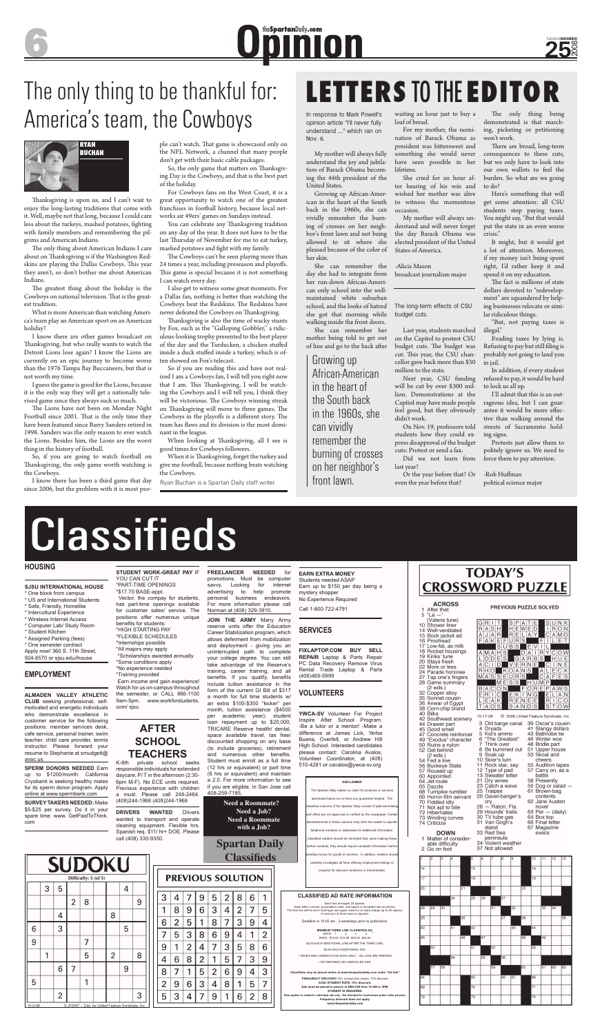### **HOUSING**

**SJSU INTERNATIONAL HOUSE**  \* One block from campus

 $\overline{\text{US}}$  and International Stu \* Safe, Friendly, Homelike \* Intercultural Experience

- \* Wireless Internet Access
- \* Computer Lab/ Study Room
- \* Student Kitchen

\* Assigned Parking (fees) \* One semester contract Apply now! 360 S. 11th Street,

924-6570 or sjsu.edu/ihouse

### **EMPLOYMENT**

**ALMADEN VALLEY ATHLETIC CLUB** seeking professional, self-

**SPERM DONORS NEEDED Earn** up to \$1200/month. California Cryobank is seeking healthy males for its sperm donor program. Apply online at www.spermbank.com

motivated and energetic individuals who demonstrate excellence in customer service for the following positions: member services desk, cafe service, personal trainer, swim teacher, child care provider, tennis instructor. Please forward your resume to Stephanie at smudgett@ avac.us.

**SURVEY TAKERS NEEDED:** Make \$5-\$25 per survey. Do it in your spare time. www. GetPaidToThink. com

**STUDENT WORK-GREAT PAY** IF

YOU CAN CUT IT \*PART-TIME OPENINGS \*\$17.70 BASE-appt. Vector, the compay for students,

has part-time openings available for customer sales/ service. The positions offer numerous unique benefits for students: \*HIGH STARTING PAY \*FLEXIBLE SCHEDULES \*Internships possible \*All majors may apply \*Scholarships awarded annually \*Some conditions apply \*No experience needed \*Training provided Earn income and gain experience! Watch for us on-campus throughout the semester, or CALL 866-1100 9am-5pm. www.workforstudents. com/ sjsu

## **AFTER SCHOOL TEACHERS**

K-8th private school seeks responsible individuals for extended daycare, P/ T in the afternoon (2:30- 6pm M-F). No ECE units required. Previous experience with children a must. Please call 248-2464. (408)244-1968 (408)244-1968

**DRIVERS WANTED** Drivers wanted to transport and operate cleaning equipment. Flexible hrs. Spanish req. \$11/ hr+ DOE. Please call (408) 330-9350.

3

 $\mathbf{1}$ 8 9 6 3  $\overline{4}$  $\overline{2}$  $\overline{7}$ 5

6  $\overline{2}$ 5  $\mathbf{1}$ 8 7 3 9  $\overline{4}$ 

7

9  $\mathbf{1}$  $\overline{2}$ 

 $\overline{4}$ 6 8

8

 $\overline{2}$ 

5 3

4

5

 $\overline{7}$ 

9 6

7

3

 $\mathbf{1}$ 

 $\overline{4}$ 

**FREELANCER NEEDED** for promotions. Must be computer savvy. Looking for internet advertising to help promote personal business endeavors.

For more information please call Norman at (408) 329-3910.

**JOIN THE ARMY** Many Army reserve units offer the Education Career Stabilization program, which allows deferment from mobilization and deployment - giving you an uninterrupted path to complete your college degree. You can still take advantage of the Reserve's training, career training, and all benefits. If you qualify, benefits include tuition assistance in the form of the current GI Bill of \$317 a month for full time students w/ an extra \$100-\$350 "kicker" per month, tuition assistance (\$4500 per academic year); student loan repayment up to \$20,000, TRICARE Reserve health/ dental, space available travel, tax free/ discounted shopping on any base (to include groceries), retirement and numerous other benefits. Student must enroll as a full time (12 hrs or equivalent) or part time (6 hrs or equivalent) and maintain a 2.0. For more information to see if you are eligible, in San Jose call 408-259-7185.

Thanksgiving is upon us, and I can't wait to enjoy the long-lasting traditions that come with it. Well, maybe not that long, because I could care less about the turkeys, mashed potatoes, fighting with family members and remembering the pilgrims and American Indians.

The only thing about American Indians I care about on Thanksgiving is if the Washington Redskins are playing the Dallas Cowboys. This year they aren't, so don't bother me about American Indians.

The greatest thing about the holiday is the Cowboys on national television. That is the greatest tradition.

> **EARN EXTRA MONEY**  Students needed ASAP Earn up to \$150 per day being a mystery shopper No Experience Required



Call 1-800-722-4791

### **SERVICES**

**FIXLAPTOP.COM BUY SELL REPAIR** Laptop & Parts Repair PC Data Recovery Remove Virus Rental Trade Laptop & Parts (408)469-5999

### **VOLUNTEERS**

The Lions have not been on Monday Night Football since 2001. That is the only time they have been featured since Barry Sanders retired in 1998. Sanders was the only reason to ever watch the Lions. Besides him, the Lions are the worst thing in the history of football.

> **YWCA-SV** Volunteer For Project Inspire After School Program. -Be a tutor or a mentor! -Make a difference at James Lick, Yerba Buena, Overfelt, or Andrew Hill High School. Interested candidates please contact: Carolina Avalos, Volunteer Coordinator, at (408) 510-4281 or cavalos@ywca-sv.org

ple can't watch. That game is showcased only on the NFL Network, a channel that many people don't get with their basic cable packages.

So, the only game that matters on Thanksgiving Day is the Cowboys, and that is the best part of the holiday.

#### **CLASSIFIED AD RATE INFORMATION**

Each line averages 25 spaces.<br>Each letter, number, punctuation mark, and space is formatted into an ad line.<br>The first line will be set in bold type and upper case for no extra charge up to 20 spaces.<br>A minimum of three li

The Cowboys can't be seen playing more than 24 times a year, including preseason and playoffs. This game is special because it is not something I can watch every day.

I also get to witness some great moments. For a Dallas fan, nothing is better than watching the Cowboys beat the Redskins. The Redskins have never defeated the Cowboys on Thanksgiving.

Deadline is 10:00 am , 2-weekdays prior to publication.

**MINIMUM THREE LINE CLASSIFIED AD**: DAYS: 1 2 3 4 RATE: \$10.00 \$15.00 \$20.00 \$25.00

\$2.50 EACH ADDITIONAL LINE AFTER THE THIRD LINE. \$3.00 EACH ADDITIONAL DAY.

Thanksgiving is also the time of wacky stunts by Fox, such as the "Galloping Gobbler," a ridiculous-looking trophy presented to the best player of the day and the Turducken, a chicken stuffed inside a duck stuffed inside a turkey, which is often showed on Fox's telecast.

> • RATES ARE CONSECUTIVE DAYS ONLY. •ALL ADS ARE PREPAID. • NO REFUNDS ON CANCELLED ADS.

**Classifieds may be placed online at www.thespartandaily.com under "Ad Info"**

When looking at Thanksgiving, all I see is good times for Cowboys followers.

> **FREQUENCY DISCOUNT:** 40+ consecutive issues: 10% discount **SJSU STUDENT RATE: 10% discount Ads must be placed in person in DBH 209 from 10 AM or 3PM. STUDENT ID REQUIRED.**

Rate applies to student's individual ads only. Not intended for businesses and/or other persons.<br>Frequency discount does not apply.<br>www.thespartandaily.com

**ACROSS** 1 After that  $5$  "La  $-$ 

40 Bilks

 $(2 \text{ wds.})$ 

64 Jet route

73 Winding curves 74 Criticize

**DOWN** 

65 Dazzle

(Valens tune) 10 Shower liner R∣R WED 14 Well-ventilated  $L$   $A$   $Y$  $C$  A M  $C$ 15 Book jacket ad A|J|A|F FAKEFURS FIL 16 Proofread FILET 17 Low-fat, as milk 18 Rocket housings  $A$   $M$   $A$   $H$  :  $DA I RY C O W$ 19 Kinks' tune GARBS HUE  $|O|D|E$ 20 Stays fresh ACTO VERNE CINE<br>RHO KOANS ALECK<br>MASSEURS CAFES 22 More or less<br>24 Parade honoree  $A|L|E|C|K$ 27 Tap one's fingers <u>M|A|S</u> 28 Game summary  $H$ UMF 25 Game Samma<br>(2 wds.)<br>32 Copper alloy  $\overline{\text{O}}$ R $\overline{\text{F}}$ P BAC :IRI INIC 35 Sonnet cousin 36 Anwar of Egypt TIAI 38 Corn-chip brand © 2008 United Feature Syndicate, Inc. 10-17-08 42 Southwest scenery 44 Drawer part 3 Old barge canal 39 Oscar's cousin 45 Good smell 4 Dryads 41 Slangy dollars Kid's ammo 43 Bathrobe tie 47 Concrete reinforcer 49 "Exodus" character 46 Winter woe<br>48 Bridle part 6 "The Greatest" 50 Ruins a nylon<br>52 Get behind Think over 8 Be bummed out 51 Upper house 9 Soak up 10 Skier's turn 54 Fed a line 11 Rock star, say 56 Buckeye State 57 Roused up 12 Type of pad 13 Sweater letter 60 Appointed 21 Dry wines 23 Catch a wave ze ealer a wave<br>25 Traipse<br>26 Gavel-banger's 68 Turnpike rumbler 69 Horror-film servant<br>70 Fiddled idly cry<br>28 - Raton, Fla.<br>29 Hounds' trails Not apt to bite novel 72 Hibernates



1 Matter of consider-<br>able difficulty peninsula<br>34 Violent weather 37 Not allowed

stand



|           |   | <b>SUDOKU</b>  |                |                      |                |                                                     |   |
|-----------|---|----------------|----------------|----------------------|----------------|-----------------------------------------------------|---|
|           |   |                |                | Difficulty: 5 (of 5) |                |                                                     |   |
|           | 3 | 5              |                |                      |                | 4                                                   |   |
|           |   |                | $\overline{2}$ | 8                    |                |                                                     | 9 |
|           |   | 4              |                |                      | 8              |                                                     |   |
| 6         |   | 3              |                |                      |                | 5                                                   |   |
| 9         |   |                |                | 7                    |                |                                                     |   |
|           | 1 |                |                | 5                    | $\overline{2}$ |                                                     | 8 |
|           |   | 6              | 7              |                      |                | 9                                                   |   |
| 5         |   |                |                |                      |                |                                                     |   |
|           |   | $\overline{2}$ |                |                      |                |                                                     | 3 |
| $10-3-08$ |   |                |                |                      |                | @ JFS/KF -- Dist. by United Feature Syndicate, Inc. |   |

When it is Thanksgiving, forget the turkey and give me football, because nothing beats watching the Cowboys.

## The only thing to be thankful for: America's team, the Cowboys<br>
In response to Mark Powell's<br>
In response to Mark Powell's

She can remember her mother being told to get out of line and go to the back after

| <b>DISCLAIMER</b>                                                   |
|---------------------------------------------------------------------|
| The Spartan Daily makes no claim for products or services           |
| advertised below nor is there any quarantee implied. The            |
| classified columns of the Spartan Daily consist of paid advertising |
| and offers are not approved or verified by the newspaper. Certain   |
| advertisements in these columns may refer the reader to specific    |
| telephone numbers or addresses for additional information.          |
| Classified readers should be reminded that, when making these       |
| further contacts, they should require complete information before   |
| sending money for goods or services. In addition, readers should    |
| carefully investigate all firms offering employment listings or     |

coupons for discount vacations or merchandise.

**Need a Roommate? Need a Job? Need a Roommate with a Job?**

**Spartan Daily Classifieds**

> 8 6

 $\overline{4}$ 

 $\overline{2}$ 8

 $\mathbf 1$ 

3

PREVIOUS SOLUTION

5

 $6\phantom{1}6$ 9  $\overline{4}$  $\mathbf{1}$ 2

 $\overline{7}$ 

 $\mathbf{1}$ 5 7 3 9

4 8  $\mathbf{1}$ 5  $\overline{7}$ 

9

 $\overline{2}$ 8 6

3 5

1  $6\phantom{1}$ 

9

8

 $\overline{\mathbf{4}}$ 

 $\overline{2}$ 

5  $\overline{2}$ 6 9

3

# Classifieds

 $\overline{7}$ 

The only thing being demonstrated is that marching, picketing or petitioning won't work.

There are broad, long-term consequences to these cuts, but we only have to look into our own wallets to feel the burden. So what are we going to do?

The fact is millions of state dollars devoted to "redevelopment" are squandered by helping businesses relocate or similar ridiculous things.

Protests just allow them to politely ignore us. We need to force them to pay attention.

PREVIOUS PUZZLE SOLVED

-Rob Huffman political science major

What is more American than watching America's team play an American sport on an American holiday?

I know there are other games broadcast on Thanksgiving, but who really wants to watch the Detroit Lions lose again? I know the Lions are currently on an epic journey to become worse than the 1976 Tampa Bay Buccaneers, but that is not worth my time.

I guess the game is good for the Lions, because it is the only way they will get a nationally televised game since they always suck so much.

So, if you are going to watch football on Thanksgiving, the only game worth watching is the Cowboys.

I know there has been a third game that day since 2006, but the problem with it is most peo-

For Cowboys fans on the West Coast, it is a great opportunity to watch one of the greatest franchises in football history, because local networks air 49ers' games on Sundays instead.

You can celebrate any Thanksgiving tradition on any day of the year. It does not have to be the last Thursday of November for me to eat turkey, mashed potatoes and fight with my family.

So if you are reading this and have not realized I am a Cowboys fan, I will tell you right now that I am. This Thanksgiving, I will be watching the Cowboys and I will tell you, I think they will be victorious. The Cowboys winning streak on Thanksgiving will move to three games. The Cowboys in the playoffs is a different story. The team has flaws and its division is the most dominant in the league.

opinion article "I'll never fully understand ..." which ran on Nov. 6.

My mother will always fully understand the joy and jubilation of Barack Obama becoming the 44th president of the United States.

Growing up African-American in the heart of the South back in the 1960s, she can vividly remember the burning of crosses on her neighbor's front lawn and not being allowed to sit where she pleased because of the color of her skin.

She can remember the day she had to integrate from her run-down African-American only school into the wellmaintained white suburban school, and the looks of hatred The long-term effects of CSU she got that morning while walking inside the front doors.

waiting an hour just to buy a loaf of bread.

For my mother, the nomination of Barack Obama as president was bittersweet and something she would never have seen possible in her lifetime.

She cried for an hour after hearing of his win and wished her mother was alive to witness the momentous occasion.

My mother will always understand and will never forget the day Barack Obama was elected president of the United States of America.

-Alicia Mason broadcast journalism major

budget cuts.

Last year, students marched on the Capitol to protest CSU budget cuts. The budget was cut. This year, the CSU chancellor gave back more than \$30 million to the state.

Next year, CSU funding will be cut by over \$300 million. Demonstrations at the Capitol may have made people feel good, but they obviously didn't work.

On Nov. 19, professors told students how they could express disapproval of the budget cuts: Protest or send a fax.

Did we not learn from last year?

Or the year before that? Or even the year before that?

Here's something that will get some attention: all CSU students stop paying taxes. You might say, "But that would put the state in an even worse crisis."

It might, but it would get a lot of attention. Moreover, if my money isn't being spent right, I'd rather keep it and spend it on my education.

"But, not paying taxes is illegal."

Evading taxes by lying is. Refusing to pay but still filing is probably not going to land you in jail.

In addition, if every student refused to pay, it would be hard to lock us all up.

I'll admit that this is an outrageous idea, but I can guarantee it would be more effective than walking around the streets of Sacramento holding signs.



Ryan Buchan is a Spartan Daily staff writer.

## **LETTERS** TO THE **EDITOR**

# $\overline{\text{O}}$  **f** the Spartan Daily.com



Growing up African-American in the heart of the South back in the 1960s, she can vividly remember the burning of crosses on her neighbor's front lawn.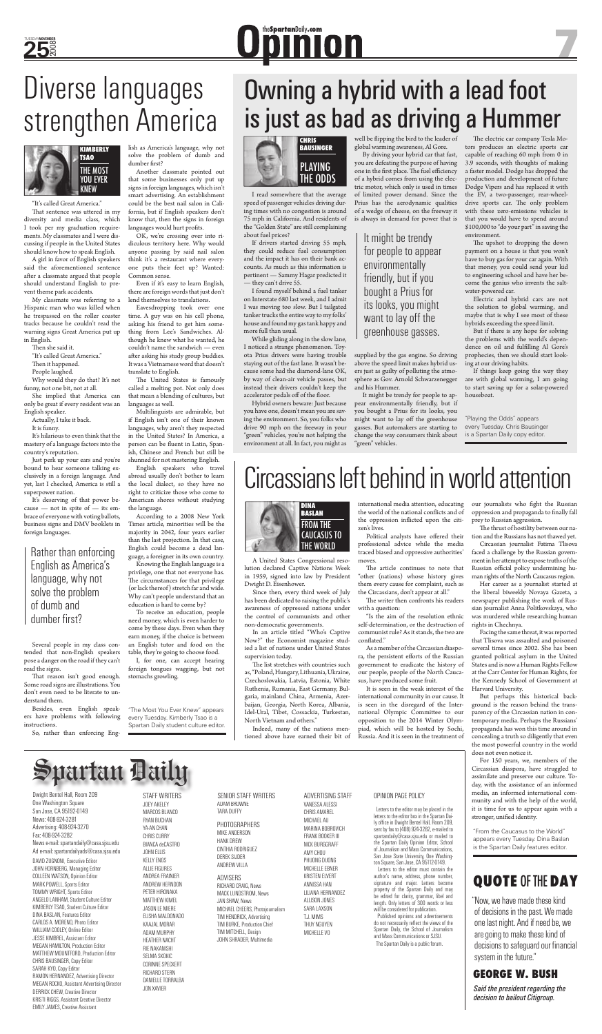I read somewhere that the average speed of passenger vehicles driving during times with no congestion is around 75 mph in California. And residents of the "Golden State" are still complaining about fuel prices?

If drivers started driving 55 mph, they could reduce fuel consumption and the impact it has on their bank accounts. As much as this information is pertinent — Sammy Hagar predicted it — they can't drive 55.

While gliding along in the slow lane, I noticed a strange phenomenon. Toyota Prius drivers were having trouble staying out of the fast lane. It wasn't because some had the diamond-lane OK, by way of clean-air vehicle passes, but instead their drivers couldn't keep the accelerator pedals off of the floor.

I found myself behind a fuel tanker on Interstate 680 last week, and I admit I was moving too slow. But I tailgated tanker trucks the entire way to my folks' house and found my gas tank happy and more full than usual.

well be flipping the bird to the leader of  $% \mathcal{M}$ global warming awareness, Al Gore.

Hybrid owners beware: Just because you have one, doesn't mean you are saving the environment. So, you folks who drive 90 mph on the freeway in your "green" vehicles, you're not helping the environment at all. In fact, you might as

The electric car company Tesla Motors produces an electric sports car capable of reaching 60 mph from 0 in 3.9 seconds, with thoughts of making a faster model. Dodge has dropped the production and development of future Dodge Vipers and has replaced it with the EV, a two-passenger, rear-wheeldrive sports car. The only problem with these zero-emissions vehicles is that you would have to spend around \$100,000 to "do your part" in saving the environment.

The upshot to dropping the down payment on a house is that you won't have to buy gas for your car again. With that money, you could send your kid to engineering school and have her become the genius who invents the saltwater-powered car.

By driving your hybrid car that fast, you are defeating the purpose of having one in the first place. The fuel efficiency of a hybrid comes from using the electric motor, which only is used in times of limited power demand. Since the Prius has the aerodynamic qualities of a wedge of cheese, on the freeway it is always in demand for power that is

supplied by the gas engine. So driving above the speed limit makes hybrid users just as guilty of polluting the atmosphere as Gov. Arnold Schwarzenegger and his Hummer.

It might be trendy for people to appear environmentally friendly, but if you bought a Prius for its looks, you might want to lay off the greenhouse gasses. But automakers are starting to change the way consumers think about "green" vehicles.

> do not necessarily reflect the views of the Spartan Daily, the School of Journalism and Mass Communications or SJSU. The Spartan Daily is a public forum.

Electric and hybrid cars are not the solution to global warming, and maybe that is why I see most of these hybrids exceeding the speed limit.

But if there is any hope for solving the problems with the world's dependence on oil and fulfilling Al Gore's prophecies, then we should start looking at our driving habits.

If things keep going the way they are with global warming, I am going to start saving up for a solar-powered houseboat.

"It's called Great America." That sentence was uttered in my the**Spartan**Daily**.com** 7

News: 408-924-3281 Advertising: 408-924-3270 Fax: 408-924-3282 News e-mail: spartandaily@casa.sjsu.edu Ad e-mail: spartandailyads@casa.sjsu.edu Dwight Bentel Hall, Room 209 One Washington Square San Jose, CA 95192-0149

- Then she said it.
- "It's called Great America."
- Then it happened.
- People laughed.

DAVID ZUGNONI, Executive Editor JOHN HORNBERG, Managing Editor COLLEEN WATSON, Opinion Editor MARK POWELL, Sports Editor TOMMY WRIGHT, Sports Editor ANGELO LANHAM, Student Culture Editor KIMBERLY TSAO, Student Culture Editor DINA BASLAN, Features Editor CARLOS A. MORENO, Photo Editor WILLIAM COOLEY, Online Editor JESSE KIMBREL, Assistant Editor MEGAN HAMILTON, Production Editor MATTHEW MOUNTFORD, Production Editor CHRIS BAUSINGER, Copy Editor SARAH KYO, Copy Editor RAMON HERNANDEZ, Advertising Director MEGAN ROCKO, Assistant Advertising Director DERRICK CHEW, Creative Director KRISTI RIGGS, Assistant Creative Director EMILY JAMES, Creative Assistant

That reason isn't good enough. Some road signs are illustrations. You don't even need to be literate to understand them.

lish as America's language, why not solve the problem of dumb and dumber first?

Another classmate pointed out that some businesses only put up signs in foreign languages, which isn't smart advertising. An establishment could be the best nail salon in California, but if English speakers don't know that, then the signs in foreign languages would hurt profits.

### OPINION PAGE POLICY

PHOTOGRAPHERS MIKE ANDERSON HANK DREW CINTHIA RODRIGUEZ DEREK SIJDER ANDREW VILLA

 Letters to the editor may be placed in the letters to the editor box in the Spartan Daily office in Dwight Bentel Hall, Room 209, sent by fax to (408) 924-3282, e-mailed to spartandaily@casa.sjsu.edu or mailed to the Spartan Daily Opinion Editor, School of Journalism and Mass Communications, San Jose State University, One Washington Square, San Jose, CA 95112-0149.

The United States is famously called a melting pot. Not only does that mean a blending of cultures, but languages as well.

> Letters to the editor must contain the author's name, address, phone number, signature and major. Letters become property of the Spartan Daily and may be edited for clarity, grammar, libel and length. Only letters of 300 words or less will be considered for publication. Published opinions and advertisements

STAFF WRITERS JOEY AKELEY MARCOS BLANCO RYAN BUCHAN YA-AN CHAN CHRIS CURRY BIANCA deCASTRO JOHN ELLIS KELLY ENOS ALLIE FIGURES ANDREA FRAINIER ANDREW HERNDON PETER HIRONAKA MATTHEW KIMEL JASON LE MIERE ELISHA MALDONADO KAAJAL MORAR ADAM MURPHY HEATHER NACHT RIE NAKANISHI SELMA SKOKIC CORINNE SPECKERT RICHARD STERN DANIELLE TORRALBA JON XAVIER

## of dumb and dumber first?

#### SENIOR STAFF WRITERS ADAM BROWNE

TARA DUFFY

#### ADVISERS

RICHARD CRAIG, News MACK LUNDSTROM, News JAN SHAW, News MICHAEL CHEERS, Photojournalism TIM HENDRICK, Advertising TIM BURKE, Production Chief TIM MITCHELL, Design JOHN SHRADER, Multimedia

ADVERTISING STAFF VANESSA ALESSI CHRIS AMAREL MICHAEL AU MARINA BOBROVICH FRANK BOOKER III NICK BURGGRAFF AMY CHOU PHUONG DUONG MICHELLE EBNER KRISTEN ELVERT ANNISSA HAN LILIANA HERNANDEZ ALLISON JONES SARA LAXSON T.J. MIMS THUY NGUYEN MICHELLE VO

international media attention, educating the world of the national conflicts and of the oppression inflicted upon the citizen's lives.

Political analysts have offered their professional advice while the media traced biased and oppressive authorities' moves.

## **QUOTE** OF THE **DAY**

The article continues to note that "other (nations) whose history gives them every cause for complaint, such as

The writer then confronts his readers with a question:

"Is the aim of the resolution ethnic self-determination, or the destruction of communist rule? As it stands, the two are conflated."

> "Now, we have made these kind of decisions in the past. We made one last night. And if need be, we are going to make these kind of decisions to safeguard our financial system in the future."

## **GEORGE W. BUSH**

*Said the president regarding the decision to bailout Citigroup.*

## $\Rightarrow$ partan Daily

our journalists who fight the Russian oppression and propaganda to finally fall prey to Russian aggression.

diversity and media class, which I took per my graduation requirements. My classmates and I were discussing if people in the United States should know how to speak English.

> The thrust of hostility between our nation and the Russians has not thawed yet.

Her career as a journalist started at the liberal biweekly Novaya Gazeta, a newspaper publishing the work of Russian journalist Anna Politkovskaya, who was murdered while researching human rights in Chechnya. Facing the same threat, it was reported that Tlisova was assaulted and poisoned several times since 2002. She has been granted political asylum in the United States and is now a Human Rights Fellow at the Carr Center for Human Rights, for the Kennedy School of Government at Harvard University. But perhaps this historical background is the reason behind the transparency of the Circassian nation in contemporary media. Perhaps the Russians' propaganda has won this time around in concealing a truth so diligently that even the most powerful country in the world does not even notice it. For 150 years, we, members of the Circassian diaspora, have struggled to assimilate and preserve our culture. Today, with the assistance of an informed media, an informed international community and with the help of the world, it is time for us to appear again with a stronger, unified identity.

A girl in favor of English speakers said the aforementioned sentence after a classmate argued that people should understand English to prevent theme park accidents.

My classmate was referring to a Hispanic man who was killed when he trespassed on the roller coaster tracks because he couldn't read the warning signs Great America put up in English.

Why would they do that? It's not funny, not one bit, not at all.

She implied that America can only be great if every resident was an English speaker.

Actually, I take it back.

It is funny.

It's hilarious to even think that the mastery of a language factors into the country's reputation.

Just perk up your ears and you're bound to hear someone talking exclusively in a foreign language. And yet, last I checked, America is still a superpower nation.

It's deserving of that power because — not in spite of — its embrace of everyone with voting ballots, business signs and DMV booklets in foreign languages.

Several people in my class contended that non-English speakers pose a danger on the road if they can't read the signs.

Besides, even English speakers have problems with following instructions.

So, rather than enforcing Eng-

OK, we're crossing over into ridiculous territory here. Why would anyone passing by said nail salon think it's a restaurant where everyone puts their feet up? Wanted: Common sense.

Even if it's easy to learn English, there are foreign words that just don't lend themselves to translations.

Eavesdropping took over one time. A guy was on his cell phone, asking his friend to get him something from Lee's Sandwiches. Although he knew what he wanted, he couldn't name the sandwich — even after asking his study group buddies. It was a Vietnamese word that doesn't translate to English.

Multilinguists are admirable, but if English isn't one of their known languages, why aren't they respected in the United States? In America, a person can be fluent in Latin, Spanish, Chinese and French but still be shunned for not mastering English.

English speakers who travel abroad usually don't bother to learn the local dialect, so they have no right to criticize those who come to American shores without studying the language.

According to a 2008 New York Times article, minorities will be the majority in 2042, four years earlier than the last projection. In that case, English could become a dead language, a foreigner in its own country.

Knowing the English language is a privilege, one that not everyone has. The circumstances for that privilege (or lack thereof) stretch far and wide. Why can't people understand that an education is hard to come by? To receive an education, people need money, which is even harder to come by these days. Even when they earn money, if the choice is between an English tutor and food on the table, they're going to choose food. I, for one, can accept hearing foreign tongues wagging, but not stomachs growling.

"The Most You Ever Knew" appears every Tuesday. Kimberly Tsao is a Spartan Daily student culture editor.

It might be trendy for people to appear environmentally friendly, but if you bought a Prius for its looks, you might want to lay off the greenhouse gasses.

## Diverse languages strengthen America



Rather than enforcing English as America's language, why not solve the problem



"Playing the Odds" appears every Tuesday. Chris Bausinger is a Spartan Daily copy editor.

## Circassians left behind in world attention

## Owning a hybrid with a lead foot is just as bad as driving a Hummer

A United States Congressional resolution declared Captive Nations Week in 1959, signed into law by President Dwight D. Eisenhower.

Since then, every third week of July has been dedicated to raising the public's awareness of oppressed nations under the control of communists and other non-democratic governments. In an article titled "Who's Captive Now?" the Economist magazine studied a list of nations under United States supervision today. The list stretches with countries such as, "Poland, Hungary, Lithuania, Ukraine, Czechoslovakia, Latvia, Estonia, White Ruthenia, Rumania, East Germany, Bulgaria, mainland China, Armenia, Azerbaijan, Georgia, North Korea, Albania, Idel-Ural, Tibet, Cossackia, Turkestan, North Vietnam and others."

Indeed, many of the nations mentioned above have earned their bit of the Circassians, don't appear at all."

As a member of the Circassian diaspora, the persistent efforts of the Russian government to eradicate the history of our people, people of the North Caucasus, have produced some fruit.

It is seen in the weak interest of the international community in our cause. It is seen in the disregard of the International Olympic Committee to our opposition to the 2014 Winter Olympiad, which will be hosted by Sochi, Russia. And it is seen in the treatment of

Circassian journalist Fatima Tlisova faced a challenge by the Russian government in her attempt to expose truths of the Russian official policy undermining human rights of the North Caucasus region.



"From the Caucasus to the World" appears every Tuesday. Dina Baslan is the Spartan Daily features editor.